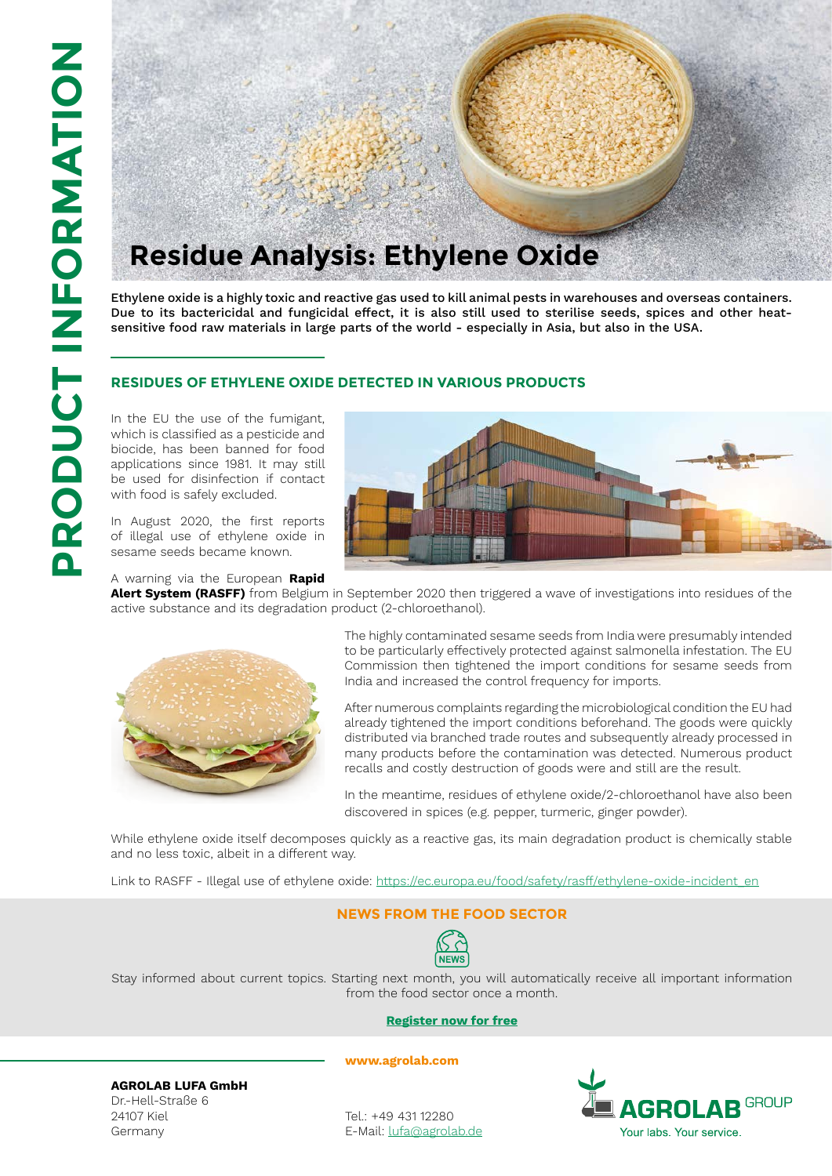

Ethylene oxide is a highly toxic and reactive gas used to kill animal pests in warehouses and overseas containers. Due to its bactericidal and fungicidal effect, it is also still used to sterilise seeds, spices and other heatsensitive food raw materials in large parts of the world - especially in Asia, but also in the USA.

#### **R e sidues of ethylene xide detected in various product s o**

In the EU the use of the fumigant, which is classified as a pesticide and biocide, has been banned for food applications since 1981. It may still be used for disinfection if contact with food is safely excluded.

In August 2020, the first reports of illegal use of ethylene oxide in sesame seeds became known.





**Alert System (RASFF)** from Belgium in September 2020 then triggered a wave of investigations into residues of the active substance and its degradation product (2-chloroethanol).



The highly contaminated sesame seeds from India were presumably intended to be particularly effectively protected against salmonella infestation. The EU Commission then tightened the import conditions for sesame seeds from India and increased the control frequency for imports.

After numerous complaints regarding the microbiological condition the EU had already tightened the import conditions beforehand. The goods were quickly distributed via branched trade routes and subsequently already processed in many products before the contamination was detected. Numerous product recalls and costly destruction of goods were and still are the result.

In the meantime, residues of ethylene oxide/2-chloroethanol have also been discovered in spices (e.g. pepper, turmeric, ginger powder).

While ethylene oxide itself decomposes quickly as a reactive gas, its main degradation product is chemically stable and no less toxic, albeit in a different way.

Link to RASFF - Illegal use of ethylene oxide: [https://ec.europa.eu/food/safety/rasff/ethylene-oxide-incident\\_en](https://ec.europa.eu/food/safety/rasff/ethylene-oxide-incident_en)

## **NEWS FROM THE FOOD SE**



Stay informed about current topics. Starting next month, you will automatically receive all important information from the food sector once a month.

#### **[Register now for free](https://subscribe.newsletter2go.com/?n2g=6545ntnb-5ghbk9yr-1ec7&_ga=2.158152762.1470215360.1575281595-1574741140.1575281595)**

**AGROLAB LUFA GmbH**

Dr.-Hell-Straße 6 24107 Kiel Germany

Tel.: +49 431 12280 E-Mail: [lufa@agrolab.de](mailto:lufa%40agrolab.de?subject=)

**<www.agrolab.com>**